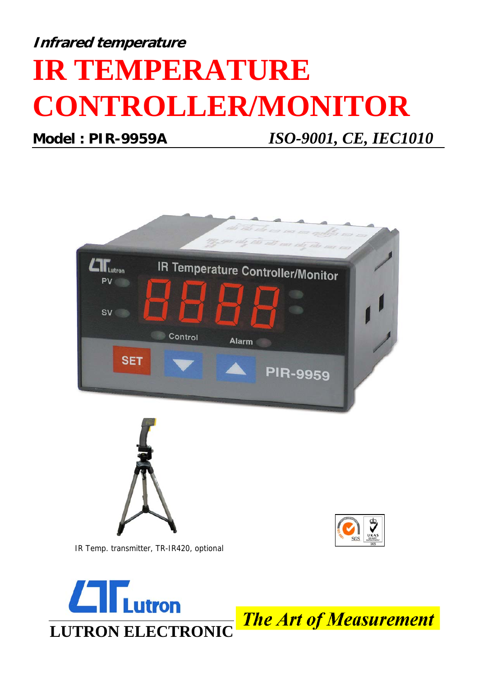## **Infrared temperature IR TEMPERATURE CONTROLLER/MONITOR**

**Model : PIR-9959A** *ISO-9001, CE, IEC1010*





**The Art of Measurement**